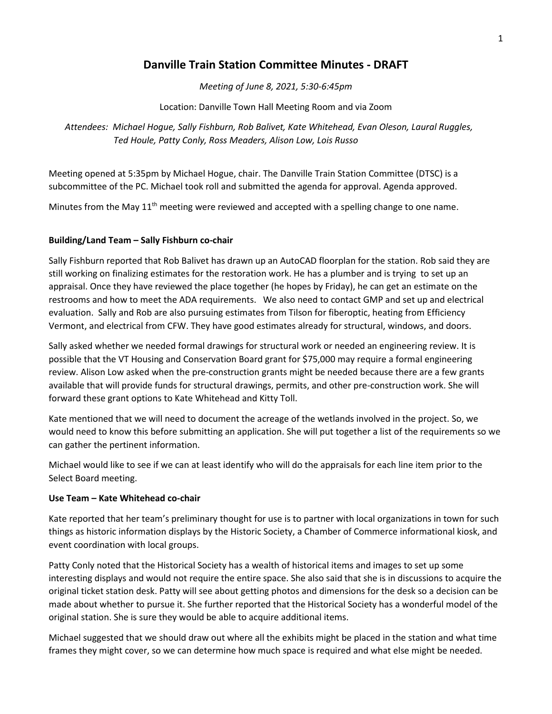# **Danville Train Station Committee Minutes - DRAFT**

*Meeting of June 8, 2021, 5:30-6:45pm*

Location: Danville Town Hall Meeting Room and via Zoom

*Attendees: Michael Hogue, Sally Fishburn, Rob Balivet, Kate Whitehead, Evan Oleson, Laural Ruggles, Ted Houle, Patty Conly, Ross Meaders, Alison Low, Lois Russo*

Meeting opened at 5:35pm by Michael Hogue, chair. The Danville Train Station Committee (DTSC) is a subcommittee of the PC. Michael took roll and submitted the agenda for approval. Agenda approved.

Minutes from the May 11<sup>th</sup> meeting were reviewed and accepted with a spelling change to one name.

### **Building/Land Team – Sally Fishburn co-chair**

Sally Fishburn reported that Rob Balivet has drawn up an AutoCAD floorplan for the station. Rob said they are still working on finalizing estimates for the restoration work. He has a plumber and is trying to set up an appraisal. Once they have reviewed the place together (he hopes by Friday), he can get an estimate on the restrooms and how to meet the ADA requirements. We also need to contact GMP and set up and electrical evaluation. Sally and Rob are also pursuing estimates from Tilson for fiberoptic, heating from Efficiency Vermont, and electrical from CFW. They have good estimates already for structural, windows, and doors.

Sally asked whether we needed formal drawings for structural work or needed an engineering review. It is possible that the VT Housing and Conservation Board grant for \$75,000 may require a formal engineering review. Alison Low asked when the pre-construction grants might be needed because there are a few grants available that will provide funds for structural drawings, permits, and other pre-construction work. She will forward these grant options to Kate Whitehead and Kitty Toll.

Kate mentioned that we will need to document the acreage of the wetlands involved in the project. So, we would need to know this before submitting an application. She will put together a list of the requirements so we can gather the pertinent information.

Michael would like to see if we can at least identify who will do the appraisals for each line item prior to the Select Board meeting.

### **Use Team – Kate Whitehead co-chair**

Kate reported that her team's preliminary thought for use is to partner with local organizations in town for such things as historic information displays by the Historic Society, a Chamber of Commerce informational kiosk, and event coordination with local groups.

Patty Conly noted that the Historical Society has a wealth of historical items and images to set up some interesting displays and would not require the entire space. She also said that she is in discussions to acquire the original ticket station desk. Patty will see about getting photos and dimensions for the desk so a decision can be made about whether to pursue it. She further reported that the Historical Society has a wonderful model of the original station. She is sure they would be able to acquire additional items.

Michael suggested that we should draw out where all the exhibits might be placed in the station and what time frames they might cover, so we can determine how much space is required and what else might be needed.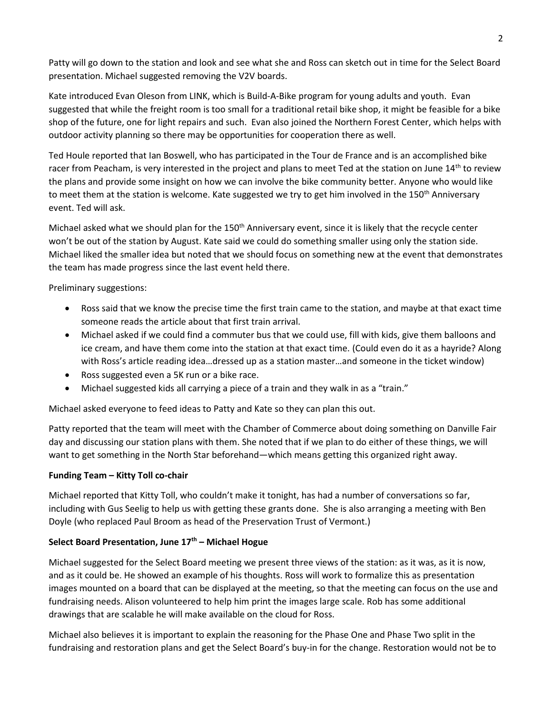Patty will go down to the station and look and see what she and Ross can sketch out in time for the Select Board presentation. Michael suggested removing the V2V boards.

Kate introduced Evan Oleson from LINK, which is Build-A-Bike program for young adults and youth. Evan suggested that while the freight room is too small for a traditional retail bike shop, it might be feasible for a bike shop of the future, one for light repairs and such. Evan also joined the Northern Forest Center, which helps with outdoor activity planning so there may be opportunities for cooperation there as well.

Ted Houle reported that Ian Boswell, who has participated in the Tour de France and is an accomplished bike racer from Peacham, is very interested in the project and plans to meet Ted at the station on June 14<sup>th</sup> to review the plans and provide some insight on how we can involve the bike community better. Anyone who would like to meet them at the station is welcome. Kate suggested we try to get him involved in the 150<sup>th</sup> Anniversary event. Ted will ask.

Michael asked what we should plan for the 150<sup>th</sup> Anniversary event, since it is likely that the recycle center won't be out of the station by August. Kate said we could do something smaller using only the station side. Michael liked the smaller idea but noted that we should focus on something new at the event that demonstrates the team has made progress since the last event held there.

Preliminary suggestions:

- Ross said that we know the precise time the first train came to the station, and maybe at that exact time someone reads the article about that first train arrival.
- Michael asked if we could find a commuter bus that we could use, fill with kids, give them balloons and ice cream, and have them come into the station at that exact time. (Could even do it as a hayride? Along with Ross's article reading idea…dressed up as a station master…and someone in the ticket window)
- Ross suggested even a 5K run or a bike race.
- Michael suggested kids all carrying a piece of a train and they walk in as a "train."

Michael asked everyone to feed ideas to Patty and Kate so they can plan this out.

Patty reported that the team will meet with the Chamber of Commerce about doing something on Danville Fair day and discussing our station plans with them. She noted that if we plan to do either of these things, we will want to get something in the North Star beforehand—which means getting this organized right away.

## **Funding Team – Kitty Toll co-chair**

Michael reported that Kitty Toll, who couldn't make it tonight, has had a number of conversations so far, including with Gus Seelig to help us with getting these grants done. She is also arranging a meeting with Ben Doyle (who replaced Paul Broom as head of the Preservation Trust of Vermont.)

### **Select Board Presentation, June 17th – Michael Hogue**

Michael suggested for the Select Board meeting we present three views of the station: as it was, as it is now, and as it could be. He showed an example of his thoughts. Ross will work to formalize this as presentation images mounted on a board that can be displayed at the meeting, so that the meeting can focus on the use and fundraising needs. Alison volunteered to help him print the images large scale. Rob has some additional drawings that are scalable he will make available on the cloud for Ross.

Michael also believes it is important to explain the reasoning for the Phase One and Phase Two split in the fundraising and restoration plans and get the Select Board's buy-in for the change. Restoration would not be to